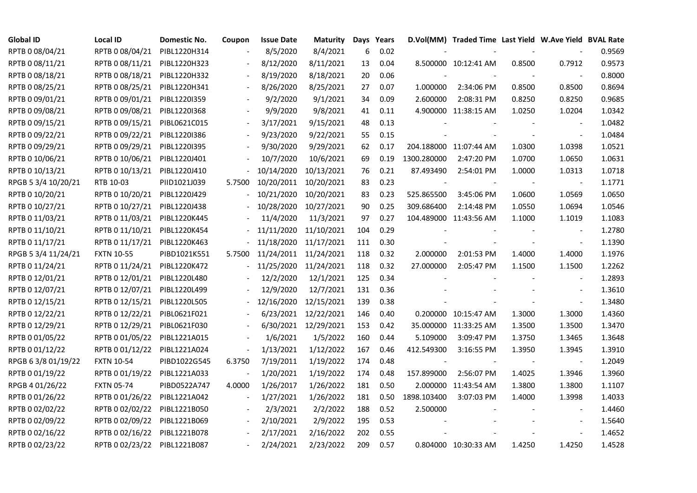| <b>Global ID</b>    | <b>Local ID</b>   | Domestic No. | Coupon                   | <b>Issue Date</b>     | <b>Maturity</b>       |     | Days Years |             | D.Vol(MM) Traded Time Last Yield W.Ave Yield BVAL Rate |        |                          |        |
|---------------------|-------------------|--------------|--------------------------|-----------------------|-----------------------|-----|------------|-------------|--------------------------------------------------------|--------|--------------------------|--------|
| RPTB 0 08/04/21     | RPTB 0 08/04/21   | PIBL1220H314 |                          | 8/5/2020              | 8/4/2021              | 6   | 0.02       |             |                                                        |        |                          | 0.9569 |
| RPTB 0 08/11/21     | RPTB 0 08/11/21   | PIBL1220H323 |                          | 8/12/2020             | 8/11/2021             | 13  | 0.04       |             | 8.500000 10:12:41 AM                                   | 0.8500 | 0.7912                   | 0.9573 |
| RPTB 0 08/18/21     | RPTB 0 08/18/21   | PIBL1220H332 |                          | 8/19/2020             | 8/18/2021             | 20  | 0.06       |             |                                                        |        |                          | 0.8000 |
| RPTB 0 08/25/21     | RPTB 0 08/25/21   | PIBL1220H341 | $\overline{\phantom{a}}$ | 8/26/2020             | 8/25/2021             | 27  | 0.07       | 1.000000    | 2:34:06 PM                                             | 0.8500 | 0.8500                   | 0.8694 |
| RPTB 0 09/01/21     | RPTB 0 09/01/21   | PIBL1220I359 |                          | 9/2/2020              | 9/1/2021              | 34  | 0.09       | 2.600000    | 2:08:31 PM                                             | 0.8250 | 0.8250                   | 0.9685 |
| RPTB 0 09/08/21     | RPTB 0 09/08/21   | PIBL1220I368 |                          | 9/9/2020              | 9/8/2021              | 41  | 0.11       |             | 4.900000 11:38:15 AM                                   | 1.0250 | 1.0204                   | 1.0342 |
| RPTB 0 09/15/21     | RPTB 0 09/15/21   | PIBL0621C015 |                          | 3/17/2021             | 9/15/2021             | 48  | 0.13       |             |                                                        |        | $\overline{\phantom{a}}$ | 1.0482 |
| RPTB 0 09/22/21     | RPTB 0 09/22/21   | PIBL1220I386 |                          | 9/23/2020             | 9/22/2021             | 55  | 0.15       |             |                                                        |        | $\blacksquare$           | 1.0484 |
| RPTB 0 09/29/21     | RPTB 0 09/29/21   | PIBL1220I395 |                          | 9/30/2020             | 9/29/2021             | 62  | 0.17       |             | 204.188000 11:07:44 AM                                 | 1.0300 | 1.0398                   | 1.0521 |
| RPTB 0 10/06/21     | RPTB 0 10/06/21   | PIBL1220J401 |                          | 10/7/2020             | 10/6/2021             | 69  | 0.19       | 1300.280000 | 2:47:20 PM                                             | 1.0700 | 1.0650                   | 1.0631 |
| RPTB 0 10/13/21     | RPTB 0 10/13/21   | PIBL1220J410 |                          | 10/14/2020            | 10/13/2021            | 76  | 0.21       | 87.493490   | 2:54:01 PM                                             | 1.0000 | 1.0313                   | 1.0718 |
| RPGB 5 3/4 10/20/21 | RTB 10-03         | PIID1021J039 | 5.7500                   | 10/20/2011            | 10/20/2021            | 83  | 0.23       |             |                                                        |        | $\overline{\phantom{a}}$ | 1.1771 |
| RPTB 0 10/20/21     | RPTB 0 10/20/21   | PIBL1220J429 |                          | 10/21/2020            | 10/20/2021            | 83  | 0.23       | 525.865500  | 3:45:06 PM                                             | 1.0600 | 1.0569                   | 1.0650 |
| RPTB 0 10/27/21     | RPTB 0 10/27/21   | PIBL1220J438 |                          | 10/28/2020 10/27/2021 |                       | 90  | 0.25       | 309.686400  | 2:14:48 PM                                             | 1.0550 | 1.0694                   | 1.0546 |
| RPTB 0 11/03/21     | RPTB 0 11/03/21   | PIBL1220K445 |                          | 11/4/2020             | 11/3/2021             | 97  | 0.27       |             | 104.489000 11:43:56 AM                                 | 1.1000 | 1.1019                   | 1.1083 |
| RPTB 0 11/10/21     | RPTB 0 11/10/21   | PIBL1220K454 |                          | 11/11/2020 11/10/2021 |                       | 104 | 0.29       |             |                                                        |        |                          | 1.2780 |
| RPTB 0 11/17/21     | RPTB 0 11/17/21   | PIBL1220K463 |                          |                       | 11/18/2020 11/17/2021 | 111 | 0.30       |             |                                                        |        | $\overline{\phantom{a}}$ | 1.1390 |
| RPGB 5 3/4 11/24/21 | <b>FXTN 10-55</b> | PIBD1021K551 | 5.7500                   | 11/24/2011 11/24/2021 |                       | 118 | 0.32       | 2.000000    | 2:01:53 PM                                             | 1.4000 | 1.4000                   | 1.1976 |
| RPTB 0 11/24/21     | RPTB 0 11/24/21   | PIBL1220K472 |                          | 11/25/2020 11/24/2021 |                       | 118 | 0.32       | 27.000000   | 2:05:47 PM                                             | 1.1500 | 1.1500                   | 1.2262 |
| RPTB 0 12/01/21     | RPTB 0 12/01/21   | PIBL1220L480 |                          | 12/2/2020             | 12/1/2021             | 125 | 0.34       |             |                                                        |        | $\overline{\phantom{a}}$ | 1.2893 |
| RPTB 0 12/07/21     | RPTB 0 12/07/21   | PIBL1220L499 |                          | 12/9/2020             | 12/7/2021             | 131 | 0.36       |             |                                                        |        | $\sim$                   | 1.3610 |
| RPTB 0 12/15/21     | RPTB 0 12/15/21   | PIBL1220L505 |                          | 12/16/2020            | 12/15/2021            | 139 | 0.38       |             |                                                        |        | $\blacksquare$           | 1.3480 |
| RPTB 0 12/22/21     | RPTB 0 12/22/21   | PIBL0621F021 |                          |                       | 6/23/2021 12/22/2021  | 146 | 0.40       |             | 0.200000 10:15:47 AM                                   | 1.3000 | 1.3000                   | 1.4360 |
| RPTB 0 12/29/21     | RPTB 0 12/29/21   | PIBL0621F030 |                          |                       | 6/30/2021 12/29/2021  | 153 | 0.42       |             | 35.000000 11:33:25 AM                                  | 1.3500 | 1.3500                   | 1.3470 |
| RPTB 0 01/05/22     | RPTB 0 01/05/22   | PIBL1221A015 |                          | 1/6/2021              | 1/5/2022              | 160 | 0.44       | 5.109000    | 3:09:47 PM                                             | 1.3750 | 1.3465                   | 1.3648 |
| RPTB 0 01/12/22     | RPTB 0 01/12/22   | PIBL1221A024 | $\overline{\phantom{a}}$ | 1/13/2021             | 1/12/2022             | 167 | 0.46       | 412.549300  | 3:16:55 PM                                             | 1.3950 | 1.3945                   | 1.3910 |
| RPGB 63/8 01/19/22  | <b>FXTN 10-54</b> | PIBD1022G545 | 6.3750                   | 7/19/2011             | 1/19/2022             | 174 | 0.48       |             |                                                        |        | $\overline{\phantom{a}}$ | 1.2049 |
| RPTB 0 01/19/22     | RPTB 0 01/19/22   | PIBL1221A033 | $\frac{1}{2}$            | 1/20/2021             | 1/19/2022             | 174 | 0.48       | 157.899000  | 2:56:07 PM                                             | 1.4025 | 1.3946                   | 1.3960 |
| RPGB 4 01/26/22     | <b>FXTN 05-74</b> | PIBD0522A747 | 4.0000                   | 1/26/2017             | 1/26/2022             | 181 | 0.50       |             | 2.000000 11:43:54 AM                                   | 1.3800 | 1.3800                   | 1.1107 |
| RPTB 0 01/26/22     | RPTB 0 01/26/22   | PIBL1221A042 |                          | 1/27/2021             | 1/26/2022             | 181 | 0.50       | 1898.103400 | 3:07:03 PM                                             | 1.4000 | 1.3998                   | 1.4033 |
| RPTB 0 02/02/22     | RPTB 0 02/02/22   | PIBL1221B050 |                          | 2/3/2021              | 2/2/2022              | 188 | 0.52       | 2.500000    |                                                        |        |                          | 1.4460 |
| RPTB 0 02/09/22     | RPTB 0 02/09/22   | PIBL1221B069 | $\overline{\phantom{a}}$ | 2/10/2021             | 2/9/2022              | 195 | 0.53       |             |                                                        |        |                          | 1.5640 |
| RPTB 0 02/16/22     | RPTB 0 02/16/22   | PIBL1221B078 |                          | 2/17/2021             | 2/16/2022             | 202 | 0.55       |             |                                                        |        |                          | 1.4652 |
| RPTB 0 02/23/22     | RPTB 0 02/23/22   | PIBL1221B087 |                          | 2/24/2021             | 2/23/2022             | 209 | 0.57       |             | 0.804000 10:30:33 AM                                   | 1.4250 | 1.4250                   | 1.4528 |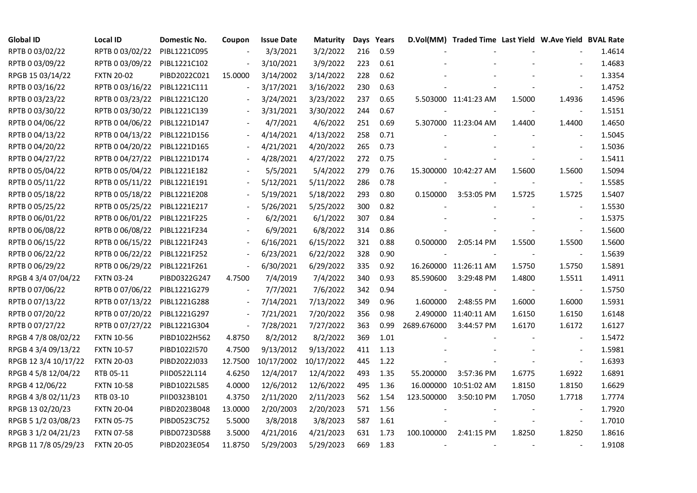| <b>Global ID</b>     | <b>Local ID</b>   | Domestic No. | Coupon                   | <b>Issue Date</b> | <b>Maturity</b>       |     | Days Years |                | D.Vol(MM) Traded Time Last Yield W.Ave Yield BVAL Rate |        |                          |        |
|----------------------|-------------------|--------------|--------------------------|-------------------|-----------------------|-----|------------|----------------|--------------------------------------------------------|--------|--------------------------|--------|
| RPTB 0 03/02/22      | RPTB 0 03/02/22   | PIBL1221C095 |                          | 3/3/2021          | 3/2/2022              | 216 | 0.59       |                |                                                        |        |                          | 1.4614 |
| RPTB 0 03/09/22      | RPTB 0 03/09/22   | PIBL1221C102 |                          | 3/10/2021         | 3/9/2022              | 223 | 0.61       |                |                                                        |        |                          | 1.4683 |
| RPGB 15 03/14/22     | <b>FXTN 20-02</b> | PIBD2022C021 | 15.0000                  | 3/14/2002         | 3/14/2022             | 228 | 0.62       |                |                                                        |        | $\overline{\phantom{a}}$ | 1.3354 |
| RPTB 0 03/16/22      | RPTB 0 03/16/22   | PIBL1221C111 | $\overline{\phantom{a}}$ | 3/17/2021         | 3/16/2022             | 230 | 0.63       |                |                                                        |        |                          | 1.4752 |
| RPTB 0 03/23/22      | RPTB 0 03/23/22   | PIBL1221C120 |                          | 3/24/2021         | 3/23/2022             | 237 | 0.65       |                | 5.503000 11:41:23 AM                                   | 1.5000 | 1.4936                   | 1.4596 |
| RPTB 0 03/30/22      | RPTB 0 03/30/22   | PIBL1221C139 |                          | 3/31/2021         | 3/30/2022             | 244 | 0.67       |                |                                                        |        |                          | 1.5151 |
| RPTB 0 04/06/22      | RPTB 0 04/06/22   | PIBL1221D147 |                          | 4/7/2021          | 4/6/2022              | 251 | 0.69       |                | 5.307000 11:23:04 AM                                   | 1.4400 | 1.4400                   | 1.4650 |
| RPTB 0 04/13/22      | RPTB 0 04/13/22   | PIBL1221D156 |                          | 4/14/2021         | 4/13/2022             | 258 | 0.71       |                |                                                        |        |                          | 1.5045 |
| RPTB 0 04/20/22      | RPTB 0 04/20/22   | PIBL1221D165 |                          | 4/21/2021         | 4/20/2022             | 265 | 0.73       |                |                                                        |        |                          | 1.5036 |
| RPTB 0 04/27/22      | RPTB 0 04/27/22   | PIBL1221D174 |                          | 4/28/2021         | 4/27/2022             | 272 | 0.75       |                |                                                        |        | $\overline{\phantom{a}}$ | 1.5411 |
| RPTB 0 05/04/22      | RPTB 0 05/04/22   | PIBL1221E182 |                          | 5/5/2021          | 5/4/2022              | 279 | 0.76       |                | 15.300000 10:42:27 AM                                  | 1.5600 | 1.5600                   | 1.5094 |
| RPTB 0 05/11/22      | RPTB 0 05/11/22   | PIBL1221E191 |                          | 5/12/2021         | 5/11/2022             | 286 | 0.78       |                |                                                        |        | $\blacksquare$           | 1.5585 |
| RPTB 0 05/18/22      | RPTB 0 05/18/22   | PIBL1221E208 |                          | 5/19/2021         | 5/18/2022             | 293 | 0.80       | 0.150000       | 3:53:05 PM                                             | 1.5725 | 1.5725                   | 1.5407 |
| RPTB 0 05/25/22      | RPTB 0 05/25/22   | PIBL1221E217 |                          | 5/26/2021         | 5/25/2022             | 300 | 0.82       |                |                                                        |        | $\blacksquare$           | 1.5530 |
| RPTB 0 06/01/22      | RPTB 0 06/01/22   | PIBL1221F225 |                          | 6/2/2021          | 6/1/2022              | 307 | 0.84       |                |                                                        |        | $\overline{\phantom{a}}$ | 1.5375 |
| RPTB 0 06/08/22      | RPTB 0 06/08/22   | PIBL1221F234 |                          | 6/9/2021          | 6/8/2022              | 314 | 0.86       |                |                                                        |        |                          | 1.5600 |
| RPTB 0 06/15/22      | RPTB 0 06/15/22   | PIBL1221F243 |                          | 6/16/2021         | 6/15/2022             | 321 | 0.88       | 0.500000       | 2:05:14 PM                                             | 1.5500 | 1.5500                   | 1.5600 |
| RPTB 0 06/22/22      | RPTB 0 06/22/22   | PIBL1221F252 | $\overline{\phantom{a}}$ | 6/23/2021         | 6/22/2022             | 328 | 0.90       |                |                                                        |        |                          | 1.5639 |
| RPTB 0 06/29/22      | RPTB 0 06/29/22   | PIBL1221F261 | $\blacksquare$           | 6/30/2021         | 6/29/2022             | 335 | 0.92       |                | 16.260000 11:26:11 AM                                  | 1.5750 | 1.5750                   | 1.5891 |
| RPGB 4 3/4 07/04/22  | <b>FXTN 03-24</b> | PIBD0322G247 | 4.7500                   | 7/4/2019          | 7/4/2022              | 340 | 0.93       | 85.590600      | 3:29:48 PM                                             | 1.4800 | 1.5511                   | 1.4911 |
| RPTB 0 07/06/22      | RPTB 0 07/06/22   | PIBL1221G279 |                          | 7/7/2021          | 7/6/2022              | 342 | 0.94       | $\blacksquare$ |                                                        |        | $\overline{\phantom{a}}$ | 1.5750 |
| RPTB 0 07/13/22      | RPTB 0 07/13/22   | PIBL1221G288 | $\overline{\phantom{a}}$ | 7/14/2021         | 7/13/2022             | 349 | 0.96       | 1.600000       | 2:48:55 PM                                             | 1.6000 | 1.6000                   | 1.5931 |
| RPTB 0 07/20/22      | RPTB 0 07/20/22   | PIBL1221G297 |                          | 7/21/2021         | 7/20/2022             | 356 | 0.98       |                | 2.490000 11:40:11 AM                                   | 1.6150 | 1.6150                   | 1.6148 |
| RPTB 0 07/27/22      | RPTB 0 07/27/22   | PIBL1221G304 | $\overline{\phantom{a}}$ | 7/28/2021         | 7/27/2022             | 363 | 0.99       | 2689.676000    | 3:44:57 PM                                             | 1.6170 | 1.6172                   | 1.6127 |
| RPGB 4 7/8 08/02/22  | <b>FXTN 10-56</b> | PIBD1022H562 | 4.8750                   | 8/2/2012          | 8/2/2022              | 369 | 1.01       |                |                                                        |        | $\blacksquare$           | 1.5472 |
| RPGB 4 3/4 09/13/22  | <b>FXTN 10-57</b> | PIBD1022I570 | 4.7500                   | 9/13/2012         | 9/13/2022             | 411 | 1.13       |                |                                                        |        | $\overline{\phantom{a}}$ | 1.5981 |
| RPGB 12 3/4 10/17/22 | <b>FXTN 20-03</b> | PIBD2022J033 | 12.7500                  |                   | 10/17/2002 10/17/2022 | 445 | 1.22       |                |                                                        |        | $\blacksquare$           | 1.6393 |
| RPGB 4 5/8 12/04/22  | RTB 05-11         | PIID0522L114 | 4.6250                   | 12/4/2017         | 12/4/2022             | 493 | 1.35       | 55.200000      | 3:57:36 PM                                             | 1.6775 | 1.6922                   | 1.6891 |
| RPGB 4 12/06/22      | <b>FXTN 10-58</b> | PIBD1022L585 | 4.0000                   | 12/6/2012         | 12/6/2022             | 495 | 1.36       |                | 16.000000 10:51:02 AM                                  | 1.8150 | 1.8150                   | 1.6629 |
| RPGB 4 3/8 02/11/23  | RTB 03-10         | PIID0323B101 | 4.3750                   | 2/11/2020         | 2/11/2023             | 562 | 1.54       | 123.500000     | 3:50:10 PM                                             | 1.7050 | 1.7718                   | 1.7774 |
| RPGB 13 02/20/23     | <b>FXTN 20-04</b> | PIBD2023B048 | 13.0000                  | 2/20/2003         | 2/20/2023             | 571 | 1.56       |                |                                                        |        |                          | 1.7920 |
| RPGB 5 1/2 03/08/23  | <b>FXTN 05-75</b> | PIBD0523C752 | 5.5000                   | 3/8/2018          | 3/8/2023              | 587 | 1.61       |                |                                                        |        | $\blacksquare$           | 1.7010 |
| RPGB 3 1/2 04/21/23  | <b>FXTN 07-58</b> | PIBD0723D588 | 3.5000                   | 4/21/2016         | 4/21/2023             | 631 | 1.73       | 100.100000     | 2:41:15 PM                                             | 1.8250 | 1.8250                   | 1.8616 |
| RPGB 11 7/8 05/29/23 | <b>FXTN 20-05</b> | PIBD2023E054 | 11.8750                  | 5/29/2003         | 5/29/2023             | 669 | 1.83       |                |                                                        |        |                          | 1.9108 |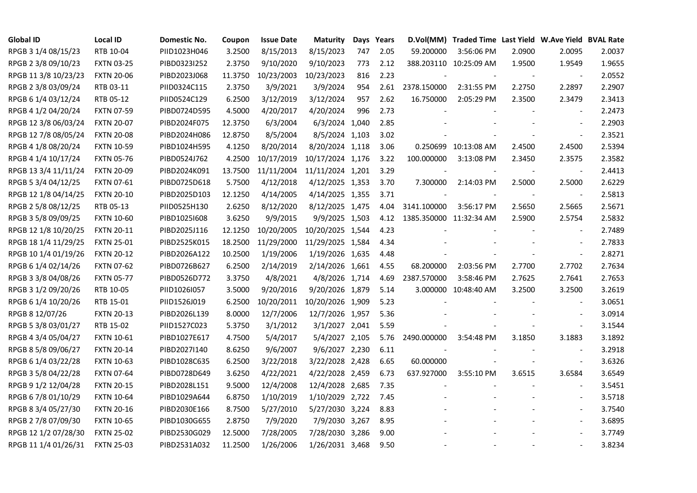| <b>Global ID</b>     | <b>Local ID</b>   | Domestic No. | Coupon  | <b>Issue Date</b> | <b>Maturity</b>  |     | Days Years |                          | D.Vol(MM) Traded Time Last Yield W.Ave Yield BVAL Rate |                |                          |        |
|----------------------|-------------------|--------------|---------|-------------------|------------------|-----|------------|--------------------------|--------------------------------------------------------|----------------|--------------------------|--------|
| RPGB 3 1/4 08/15/23  | RTB 10-04         | PIID1023H046 | 3.2500  | 8/15/2013         | 8/15/2023        | 747 | 2.05       | 59.200000                | 3:56:06 PM                                             | 2.0900         | 2.0095                   | 2.0037 |
| RPGB 2 3/8 09/10/23  | <b>FXTN 03-25</b> | PIBD0323I252 | 2.3750  | 9/10/2020         | 9/10/2023        | 773 | 2.12       |                          | 388.203110 10:25:09 AM                                 | 1.9500         | 1.9549                   | 1.9655 |
| RPGB 11 3/8 10/23/23 | <b>FXTN 20-06</b> | PIBD2023J068 | 11.3750 | 10/23/2003        | 10/23/2023       | 816 | 2.23       |                          |                                                        | $\blacksquare$ | $\overline{\phantom{a}}$ | 2.0552 |
| RPGB 2 3/8 03/09/24  | RTB 03-11         | PIID0324C115 | 2.3750  | 3/9/2021          | 3/9/2024         | 954 | 2.61       | 2378.150000              | 2:31:55 PM                                             | 2.2750         | 2.2897                   | 2.2907 |
| RPGB 6 1/4 03/12/24  | RTB 05-12         | PIID0524C129 | 6.2500  | 3/12/2019         | 3/12/2024        | 957 | 2.62       | 16.750000                | 2:05:29 PM                                             | 2.3500         | 2.3479                   | 2.3413 |
| RPGB 4 1/2 04/20/24  | <b>FXTN 07-59</b> | PIBD0724D595 | 4.5000  | 4/20/2017         | 4/20/2024        | 996 | 2.73       |                          |                                                        |                | $\overline{\phantom{a}}$ | 2.2473 |
| RPGB 12 3/8 06/03/24 | <b>FXTN 20-07</b> | PIBD2024F075 | 12.3750 | 6/3/2004          | 6/3/2024 1,040   |     | 2.85       |                          |                                                        |                | $\sim$                   | 2.2903 |
| RPGB 12 7/8 08/05/24 | <b>FXTN 20-08</b> | PIBD2024H086 | 12.8750 | 8/5/2004          | 8/5/2024 1,103   |     | 3.02       |                          |                                                        |                | $\sim$                   | 2.3521 |
| RPGB 4 1/8 08/20/24  | <b>FXTN 10-59</b> | PIBD1024H595 | 4.1250  | 8/20/2014         | 8/20/2024 1,118  |     | 3.06       |                          | 0.250699 10:13:08 AM                                   | 2.4500         | 2.4500                   | 2.5394 |
| RPGB 4 1/4 10/17/24  | <b>FXTN 05-76</b> | PIBD0524J762 | 4.2500  | 10/17/2019        | 10/17/2024 1,176 |     | 3.22       | 100.000000               | 3:13:08 PM                                             | 2.3450         | 2.3575                   | 2.3582 |
| RPGB 13 3/4 11/11/24 | <b>FXTN 20-09</b> | PIBD2024K091 | 13.7500 | 11/11/2004        | 11/11/2024 1,201 |     | 3.29       | $\overline{\phantom{a}}$ |                                                        | $\blacksquare$ | $\blacksquare$           | 2.4413 |
| RPGB 5 3/4 04/12/25  | <b>FXTN 07-61</b> | PIBD0725D618 | 5.7500  | 4/12/2018         | 4/12/2025 1,353  |     | 3.70       | 7.300000                 | 2:14:03 PM                                             | 2.5000         | 2.5000                   | 2.6229 |
| RPGB 12 1/8 04/14/25 | <b>FXTN 20-10</b> | PIBD2025D103 | 12.1250 | 4/14/2005         | 4/14/2025 1,355  |     | 3.71       |                          |                                                        |                | $\overline{\phantom{a}}$ | 2.5813 |
| RPGB 2 5/8 08/12/25  | RTB 05-13         | PIID0525H130 | 2.6250  | 8/12/2020         | 8/12/2025 1,475  |     | 4.04       | 3141.100000              | 3:56:17 PM                                             | 2.5650         | 2.5665                   | 2.5671 |
| RPGB 3 5/8 09/09/25  | <b>FXTN 10-60</b> | PIBD10251608 | 3.6250  | 9/9/2015          | 9/9/2025 1,503   |     | 4.12       | 1385.350000 11:32:34 AM  |                                                        | 2.5900         | 2.5754                   | 2.5832 |
| RPGB 12 1/8 10/20/25 | <b>FXTN 20-11</b> | PIBD2025J116 | 12.1250 | 10/20/2005        | 10/20/2025 1,544 |     | 4.23       |                          |                                                        |                |                          | 2.7489 |
| RPGB 18 1/4 11/29/25 | <b>FXTN 25-01</b> | PIBD2525K015 | 18.2500 | 11/29/2000        | 11/29/2025 1,584 |     | 4.34       |                          |                                                        |                | $\blacksquare$           | 2.7833 |
| RPGB 10 1/4 01/19/26 | <b>FXTN 20-12</b> | PIBD2026A122 | 10.2500 | 1/19/2006         | 1/19/2026 1,635  |     | 4.48       |                          |                                                        |                | $\blacksquare$           | 2.8271 |
| RPGB 6 1/4 02/14/26  | <b>FXTN 07-62</b> | PIBD0726B627 | 6.2500  | 2/14/2019         | 2/14/2026 1,661  |     | 4.55       | 68.200000                | 2:03:56 PM                                             | 2.7700         | 2.7702                   | 2.7634 |
| RPGB 3 3/8 04/08/26  | <b>FXTN 05-77</b> | PIBD0526D772 | 3.3750  | 4/8/2021          | 4/8/2026 1,714   |     | 4.69       | 2387.570000              | 3:58:46 PM                                             | 2.7625         | 2.7641                   | 2.7653 |
| RPGB 3 1/2 09/20/26  | RTB 10-05         | PIID1026I057 | 3.5000  | 9/20/2016         | 9/20/2026 1,879  |     | 5.14       |                          | 3.000000 10:48:40 AM                                   | 3.2500         | 3.2500                   | 3.2619 |
| RPGB 6 1/4 10/20/26  | RTB 15-01         | PIID1526J019 | 6.2500  | 10/20/2011        | 10/20/2026 1,909 |     | 5.23       |                          |                                                        |                | $\blacksquare$           | 3.0651 |
| RPGB 8 12/07/26      | <b>FXTN 20-13</b> | PIBD2026L139 | 8.0000  | 12/7/2006         | 12/7/2026 1,957  |     | 5.36       |                          |                                                        |                |                          | 3.0914 |
| RPGB 5 3/8 03/01/27  | RTB 15-02         | PIID1527C023 | 5.3750  | 3/1/2012          | 3/1/2027 2,041   |     | 5.59       |                          |                                                        |                | $\sim$                   | 3.1544 |
| RPGB 4 3/4 05/04/27  | <b>FXTN 10-61</b> | PIBD1027E617 | 4.7500  | 5/4/2017          | 5/4/2027 2,105   |     | 5.76       | 2490.000000              | 3:54:48 PM                                             | 3.1850         | 3.1883                   | 3.1892 |
| RPGB 8 5/8 09/06/27  | <b>FXTN 20-14</b> | PIBD2027I140 | 8.6250  | 9/6/2007          | 9/6/2027 2,230   |     | 6.11       |                          |                                                        |                | $\blacksquare$           | 3.2918 |
| RPGB 6 1/4 03/22/28  | <b>FXTN 10-63</b> | PIBD1028C635 | 6.2500  | 3/22/2018         | 3/22/2028 2,428  |     | 6.65       | 60.000000                |                                                        |                | $\blacksquare$           | 3.6326 |
| RPGB 3 5/8 04/22/28  | <b>FXTN 07-64</b> | PIBD0728D649 | 3.6250  | 4/22/2021         | 4/22/2028 2,459  |     | 6.73       | 637.927000               | 3:55:10 PM                                             | 3.6515         | 3.6584                   | 3.6549 |
| RPGB 9 1/2 12/04/28  | <b>FXTN 20-15</b> | PIBD2028L151 | 9.5000  | 12/4/2008         | 12/4/2028 2,685  |     | 7.35       |                          |                                                        |                |                          | 3.5451 |
| RPGB 67/8 01/10/29   | <b>FXTN 10-64</b> | PIBD1029A644 | 6.8750  | 1/10/2019         | 1/10/2029 2,722  |     | 7.45       |                          |                                                        |                |                          | 3.5718 |
| RPGB 8 3/4 05/27/30  | <b>FXTN 20-16</b> | PIBD2030E166 | 8.7500  | 5/27/2010         | 5/27/2030 3,224  |     | 8.83       |                          |                                                        |                | $\sim$                   | 3.7540 |
| RPGB 2 7/8 07/09/30  | <b>FXTN 10-65</b> | PIBD1030G655 | 2.8750  | 7/9/2020          | 7/9/2030 3,267   |     | 8.95       |                          |                                                        |                | $\blacksquare$           | 3.6895 |
| RPGB 12 1/2 07/28/30 | <b>FXTN 25-02</b> | PIBD2530G029 | 12.5000 | 7/28/2005         | 7/28/2030 3,286  |     | 9.00       |                          |                                                        |                |                          | 3.7749 |
| RPGB 11 1/4 01/26/31 | <b>FXTN 25-03</b> | PIBD2531A032 | 11.2500 | 1/26/2006         | 1/26/2031 3,468  |     | 9.50       |                          |                                                        |                | $\blacksquare$           | 3.8234 |